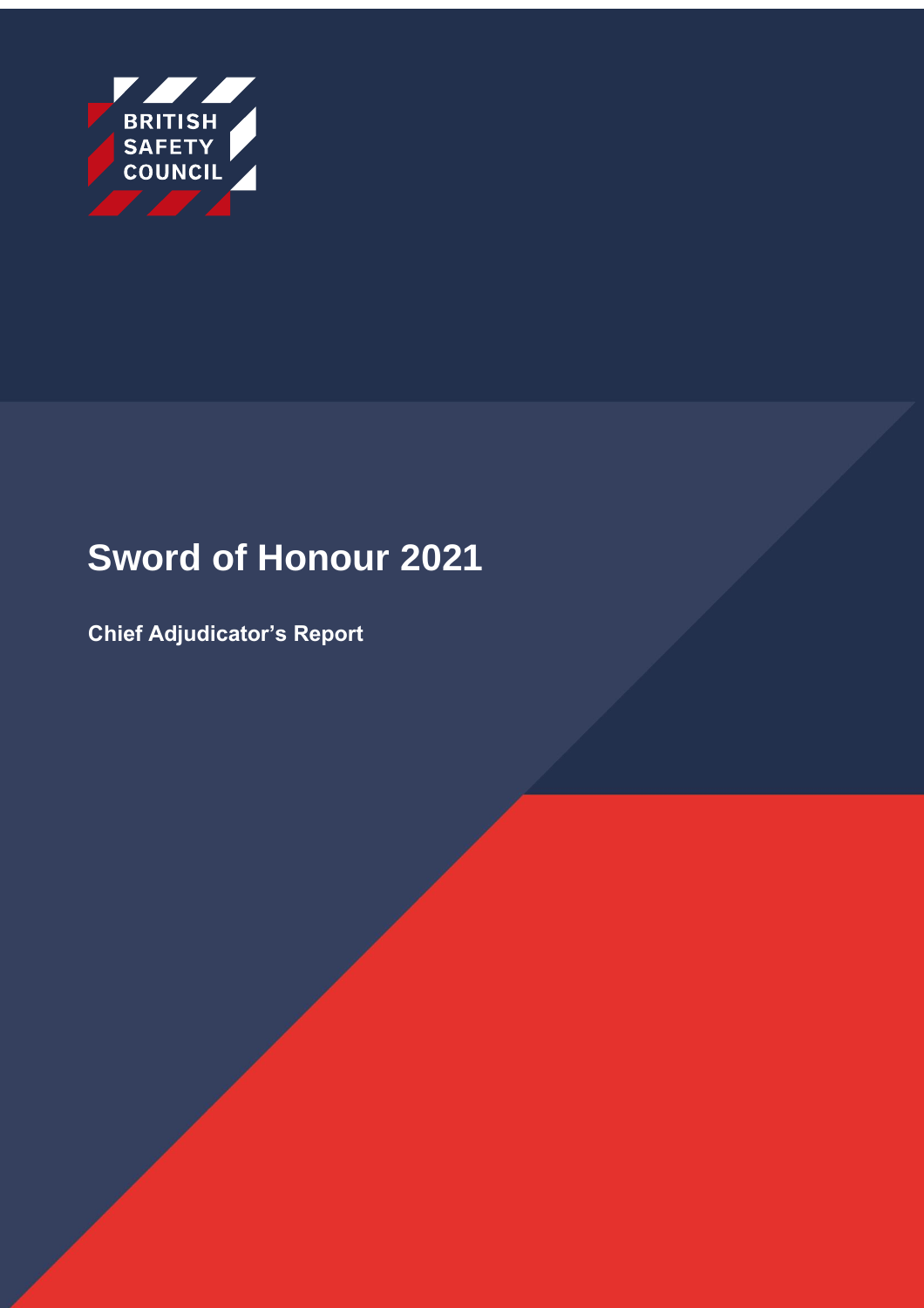

# **Sword of Honour 2021**

**Chief Adjudicator's Report**

Sword of Honour - Chief Adjudicator's Report 2021 Classified: RMG – Internal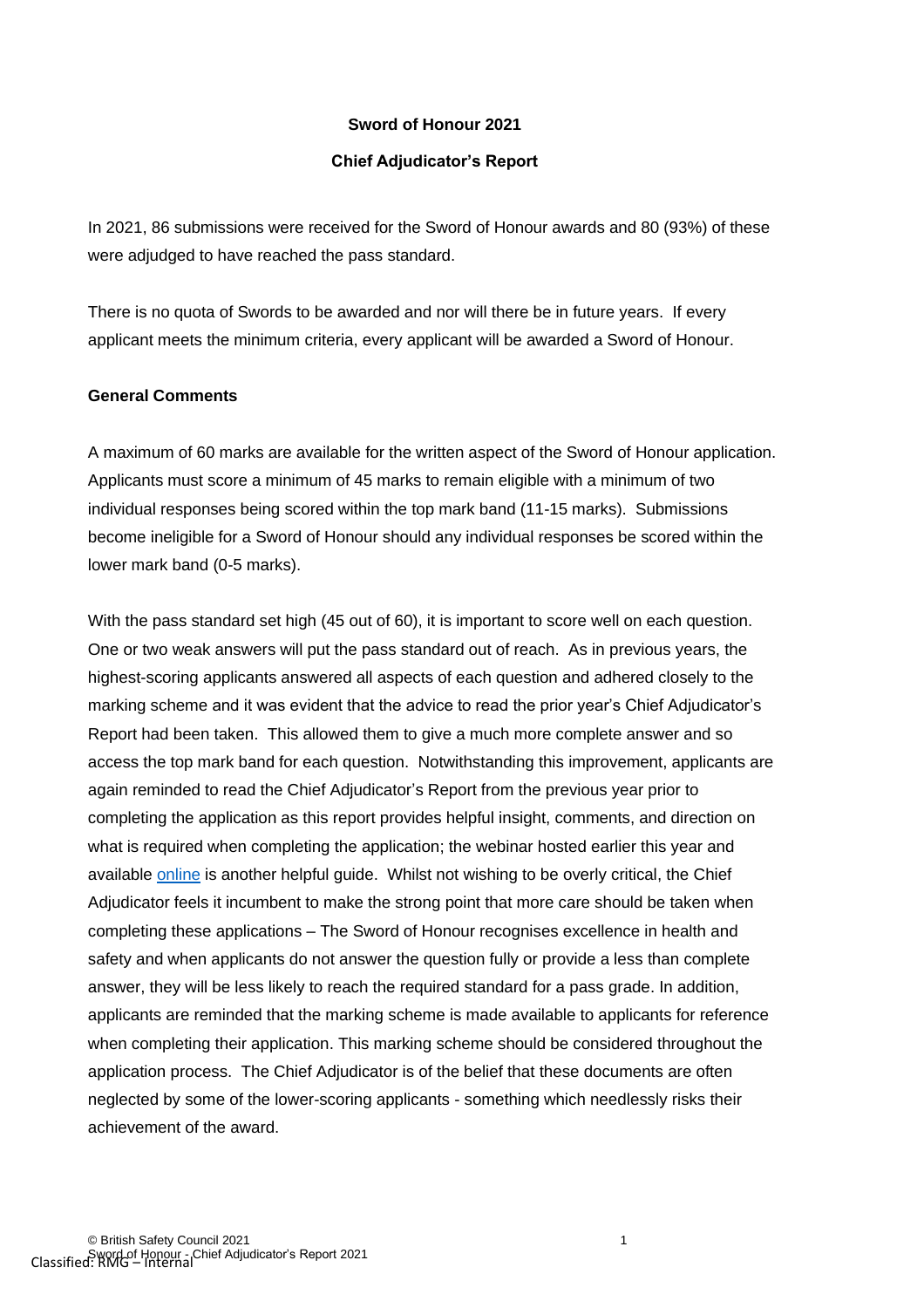#### **Sword of Honour 2021**

#### **Chief Adjudicator's Report**

In 2021, 86 submissions were received for the Sword of Honour awards and 80 (93%) of these were adjudged to have reached the pass standard.

There is no quota of Swords to be awarded and nor will there be in future years. If every applicant meets the minimum criteria, every applicant will be awarded a Sword of Honour.

#### **General Comments**

A maximum of 60 marks are available for the written aspect of the Sword of Honour application. Applicants must score a minimum of 45 marks to remain eligible with a minimum of two individual responses being scored within the top mark band (11-15 marks). Submissions become ineligible for a Sword of Honour should any individual responses be scored within the lower mark band (0-5 marks).

With the pass standard set high (45 out of 60), it is important to score well on each question. One or two weak answers will put the pass standard out of reach. As in previous years, the highest-scoring applicants answered all aspects of each question and adhered closely to the marking scheme and it was evident that the advice to read the prior year's Chief Adjudicator's Report had been taken. This allowed them to give a much more complete answer and so access the top mark band for each question. Notwithstanding this improvement, applicants are again reminded to read the Chief Adjudicator's Report from the previous year prior to completing the application as this report provides helpful insight, comments, and direction on what is required when completing the application; the webinar hosted earlier this year and available [online](Webinar:%20Sword%20&%20Globe%20of%20Honour%20Application%202021%20|%20British%20Safety%20Council%20(britsafe.org)) is another helpful guide. Whilst not wishing to be overly critical, the Chief Adjudicator feels it incumbent to make the strong point that more care should be taken when completing these applications – The Sword of Honour recognises excellence in health and safety and when applicants do not answer the question fully or provide a less than complete answer, they will be less likely to reach the required standard for a pass grade. In addition, applicants are reminded that the marking scheme is made available to applicants for reference when completing their application. This marking scheme should be considered throughout the application process. The Chief Adjudicator is of the belief that these documents are often neglected by some of the lower-scoring applicants - something which needlessly risks their achievement of the award.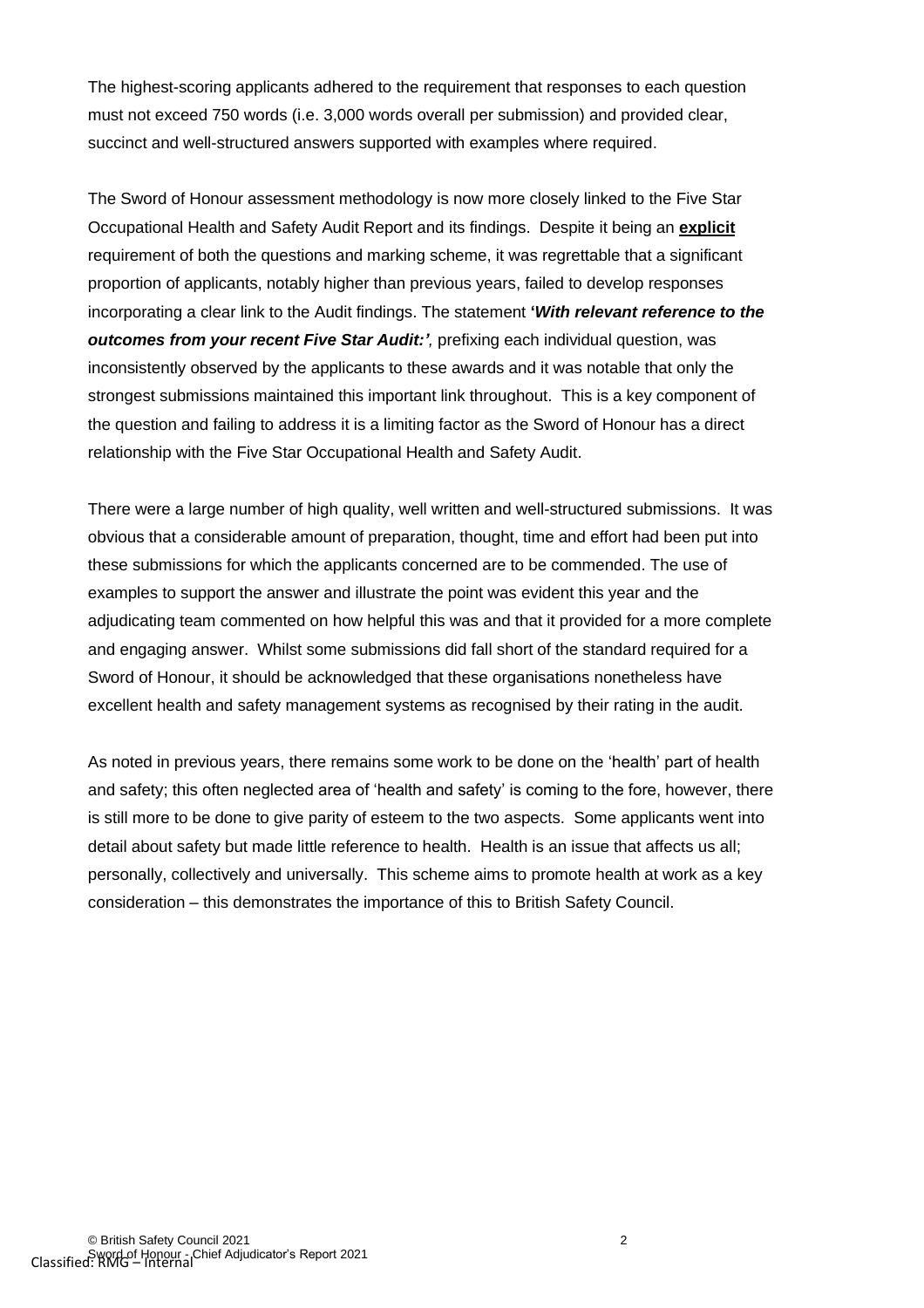The highest-scoring applicants adhered to the requirement that responses to each question must not exceed 750 words (i.e. 3,000 words overall per submission) and provided clear, succinct and well-structured answers supported with examples where required.

The Sword of Honour assessment methodology is now more closely linked to the Five Star Occupational Health and Safety Audit Report and its findings. Despite it being an **explicit** requirement of both the questions and marking scheme, it was regrettable that a significant proportion of applicants, notably higher than previous years, failed to develop responses incorporating a clear link to the Audit findings. The statement **'***With relevant reference to the outcomes from your recent Five Star Audit:'*, prefixing each individual question, was inconsistently observed by the applicants to these awards and it was notable that only the strongest submissions maintained this important link throughout. This is a key component of the question and failing to address it is a limiting factor as the Sword of Honour has a direct relationship with the Five Star Occupational Health and Safety Audit.

There were a large number of high quality, well written and well-structured submissions. It was obvious that a considerable amount of preparation, thought, time and effort had been put into these submissions for which the applicants concerned are to be commended. The use of examples to support the answer and illustrate the point was evident this year and the adjudicating team commented on how helpful this was and that it provided for a more complete and engaging answer. Whilst some submissions did fall short of the standard required for a Sword of Honour, it should be acknowledged that these organisations nonetheless have excellent health and safety management systems as recognised by their rating in the audit.

As noted in previous years, there remains some work to be done on the 'health' part of health and safety; this often neglected area of 'health and safety' is coming to the fore, however, there is still more to be done to give parity of esteem to the two aspects. Some applicants went into detail about safety but made little reference to health. Health is an issue that affects us all; personally, collectively and universally. This scheme aims to promote health at work as a key consideration – this demonstrates the importance of this to British Safety Council.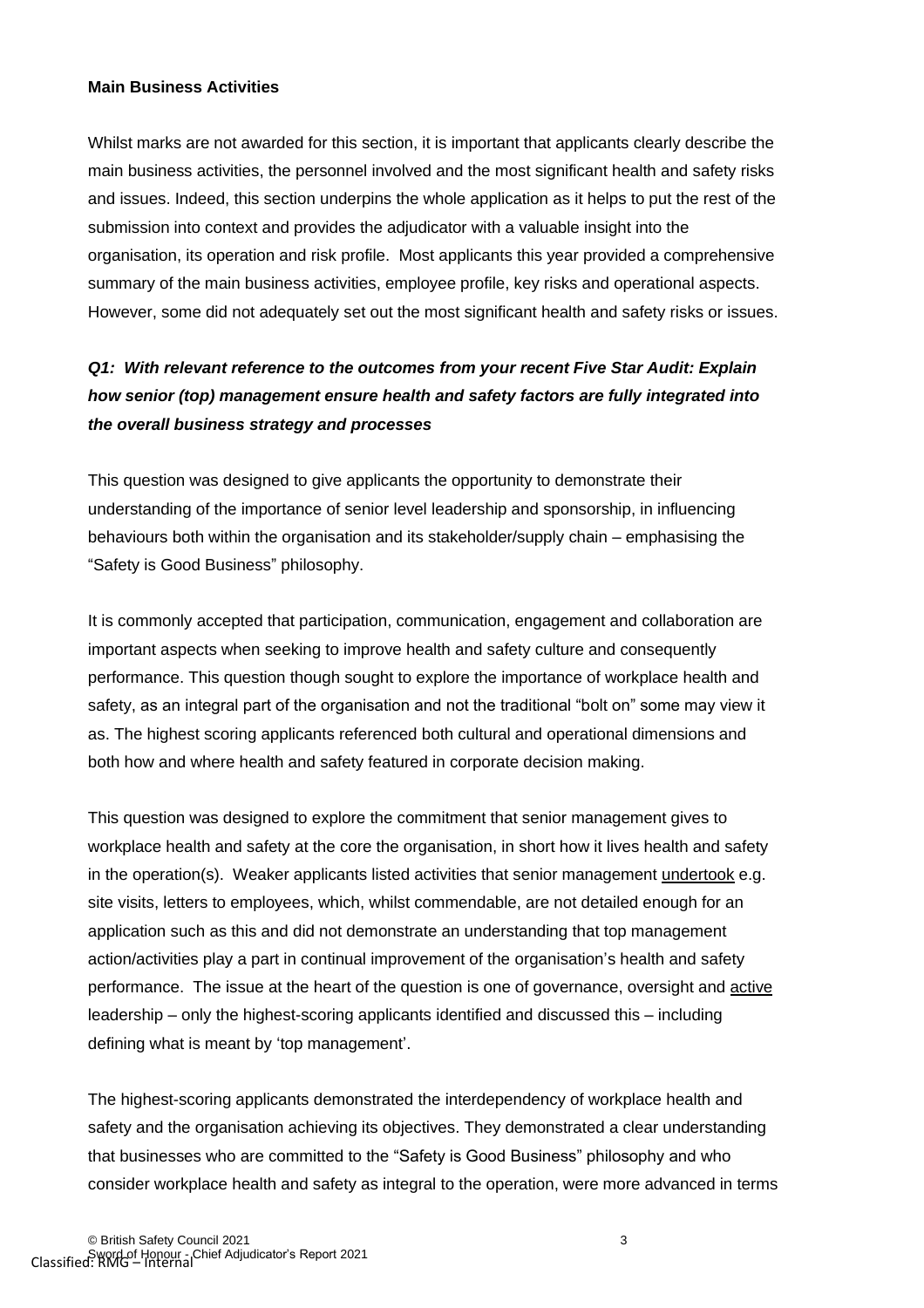#### **Main Business Activities**

Whilst marks are not awarded for this section, it is important that applicants clearly describe the main business activities, the personnel involved and the most significant health and safety risks and issues. Indeed, this section underpins the whole application as it helps to put the rest of the submission into context and provides the adjudicator with a valuable insight into the organisation, its operation and risk profile. Most applicants this year provided a comprehensive summary of the main business activities, employee profile, key risks and operational aspects. However, some did not adequately set out the most significant health and safety risks or issues.

## *Q1: With relevant reference to the outcomes from your recent Five Star Audit: Explain how senior (top) management ensure health and safety factors are fully integrated into the overall business strategy and processes*

This question was designed to give applicants the opportunity to demonstrate their understanding of the importance of senior level leadership and sponsorship, in influencing behaviours both within the organisation and its stakeholder/supply chain – emphasising the "Safety is Good Business" philosophy.

It is commonly accepted that participation, communication, engagement and collaboration are important aspects when seeking to improve health and safety culture and consequently performance. This question though sought to explore the importance of workplace health and safety, as an integral part of the organisation and not the traditional "bolt on" some may view it as. The highest scoring applicants referenced both cultural and operational dimensions and both how and where health and safety featured in corporate decision making.

This question was designed to explore the commitment that senior management gives to workplace health and safety at the core the organisation, in short how it lives health and safety in the operation(s). Weaker applicants listed activities that senior management undertook e.g. site visits, letters to employees, which, whilst commendable, are not detailed enough for an application such as this and did not demonstrate an understanding that top management action/activities play a part in continual improvement of the organisation's health and safety performance. The issue at the heart of the question is one of governance, oversight and active leadership – only the highest-scoring applicants identified and discussed this – including defining what is meant by 'top management'.

The highest-scoring applicants demonstrated the interdependency of workplace health and safety and the organisation achieving its objectives. They demonstrated a clear understanding that businesses who are committed to the "Safety is Good Business" philosophy and who consider workplace health and safety as integral to the operation, were more advanced in terms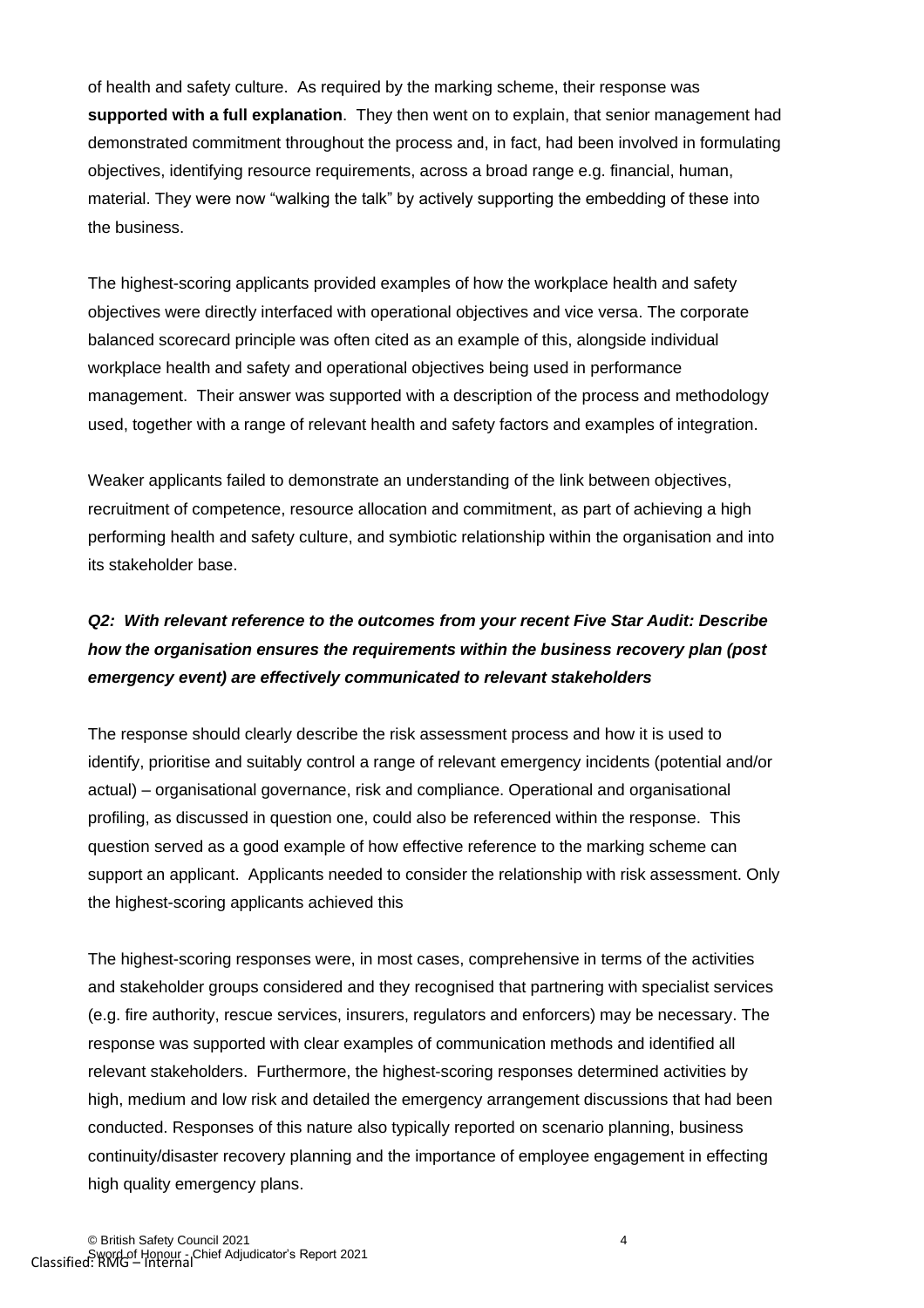of health and safety culture. As required by the marking scheme, their response was **supported with a full explanation**. They then went on to explain, that senior management had demonstrated commitment throughout the process and, in fact, had been involved in formulating objectives, identifying resource requirements, across a broad range e.g. financial, human, material. They were now "walking the talk" by actively supporting the embedding of these into the business.

The highest-scoring applicants provided examples of how the workplace health and safety objectives were directly interfaced with operational objectives and vice versa. The corporate balanced scorecard principle was often cited as an example of this, alongside individual workplace health and safety and operational objectives being used in performance management. Their answer was supported with a description of the process and methodology used, together with a range of relevant health and safety factors and examples of integration.

Weaker applicants failed to demonstrate an understanding of the link between objectives, recruitment of competence, resource allocation and commitment, as part of achieving a high performing health and safety culture, and symbiotic relationship within the organisation and into its stakeholder base.

## *Q2: With relevant reference to the outcomes from your recent Five Star Audit: Describe how the organisation ensures the requirements within the business recovery plan (post emergency event) are effectively communicated to relevant stakeholders*

The response should clearly describe the risk assessment process and how it is used to identify, prioritise and suitably control a range of relevant emergency incidents (potential and/or actual) – organisational governance, risk and compliance. Operational and organisational profiling, as discussed in question one, could also be referenced within the response. This question served as a good example of how effective reference to the marking scheme can support an applicant. Applicants needed to consider the relationship with risk assessment. Only the highest-scoring applicants achieved this

The highest-scoring responses were, in most cases, comprehensive in terms of the activities and stakeholder groups considered and they recognised that partnering with specialist services (e.g. fire authority, rescue services, insurers, regulators and enforcers) may be necessary. The response was supported with clear examples of communication methods and identified all relevant stakeholders. Furthermore, the highest-scoring responses determined activities by high, medium and low risk and detailed the emergency arrangement discussions that had been conducted. Responses of this nature also typically reported on scenario planning, business continuity/disaster recovery planning and the importance of employee engagement in effecting high quality emergency plans.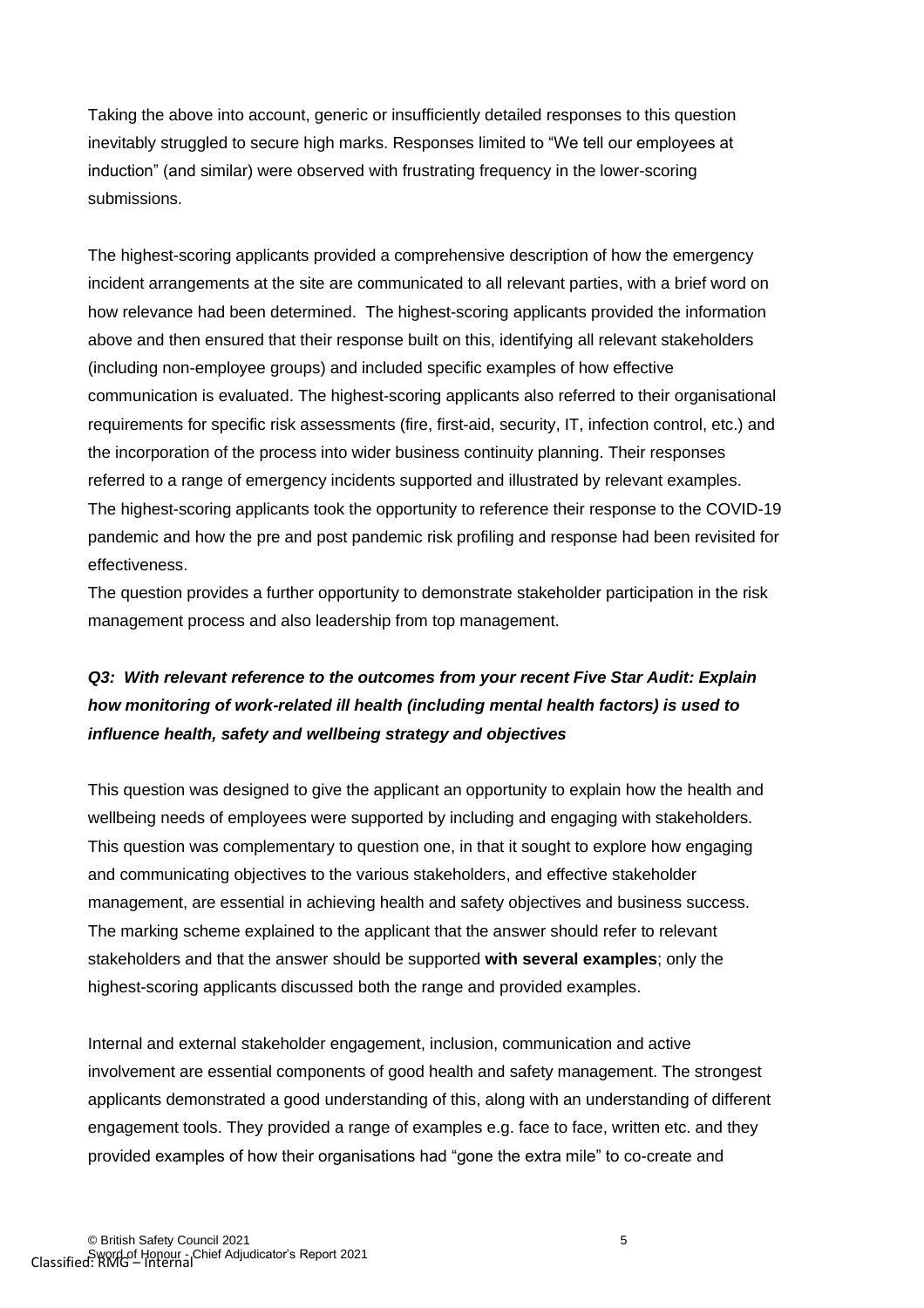Taking the above into account, generic or insufficiently detailed responses to this question inevitably struggled to secure high marks. Responses limited to "We tell our employees at induction" (and similar) were observed with frustrating frequency in the lower-scoring submissions.

The highest-scoring applicants provided a comprehensive description of how the emergency incident arrangements at the site are communicated to all relevant parties, with a brief word on how relevance had been determined. The highest-scoring applicants provided the information above and then ensured that their response built on this, identifying all relevant stakeholders (including non-employee groups) and included specific examples of how effective communication is evaluated. The highest-scoring applicants also referred to their organisational requirements for specific risk assessments (fire, first-aid, security, IT, infection control, etc.) and the incorporation of the process into wider business continuity planning. Their responses referred to a range of emergency incidents supported and illustrated by relevant examples. The highest-scoring applicants took the opportunity to reference their response to the COVID-19 pandemic and how the pre and post pandemic risk profiling and response had been revisited for effectiveness.

The question provides a further opportunity to demonstrate stakeholder participation in the risk management process and also leadership from top management.

### *Q3: With relevant reference to the outcomes from your recent Five Star Audit: Explain how monitoring of work-related ill health (including mental health factors) is used to influence health, safety and wellbeing strategy and objectives*

This question was designed to give the applicant an opportunity to explain how the health and wellbeing needs of employees were supported by including and engaging with stakeholders. This question was complementary to question one, in that it sought to explore how engaging and communicating objectives to the various stakeholders, and effective stakeholder management, are essential in achieving health and safety objectives and business success. The marking scheme explained to the applicant that the answer should refer to relevant stakeholders and that the answer should be supported **with several examples**; only the highest-scoring applicants discussed both the range and provided examples.

Internal and external stakeholder engagement, inclusion, communication and active involvement are essential components of good health and safety management. The strongest applicants demonstrated a good understanding of this, along with an understanding of different engagement tools. They provided a range of examples e.g. face to face, written etc. and they provided examples of how their organisations had "gone the extra mile" to co-create and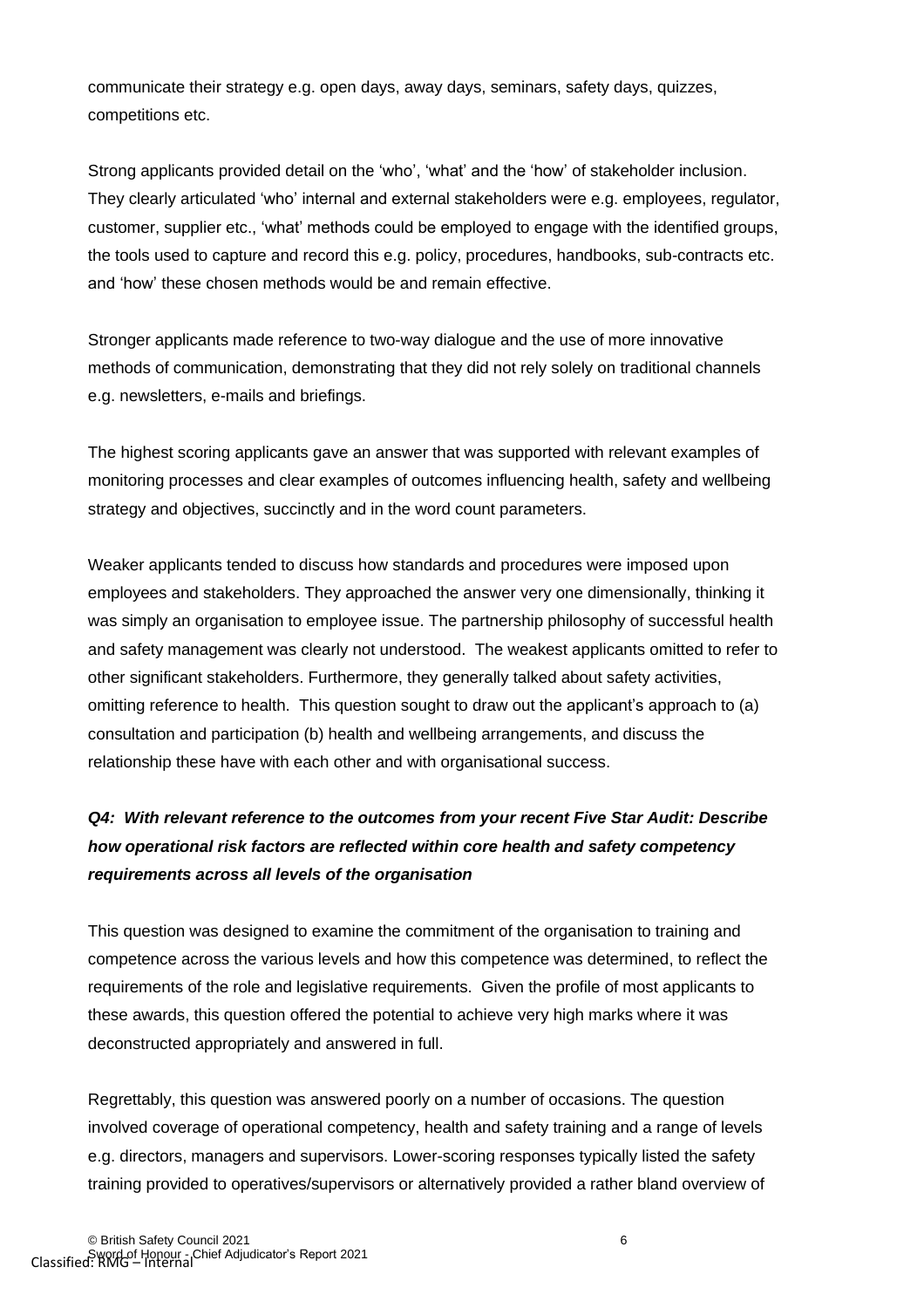communicate their strategy e.g. open days, away days, seminars, safety days, quizzes, competitions etc.

Strong applicants provided detail on the 'who', 'what' and the 'how' of stakeholder inclusion. They clearly articulated 'who' internal and external stakeholders were e.g. employees, regulator, customer, supplier etc., 'what' methods could be employed to engage with the identified groups, the tools used to capture and record this e.g. policy, procedures, handbooks, sub-contracts etc. and 'how' these chosen methods would be and remain effective.

Stronger applicants made reference to two-way dialogue and the use of more innovative methods of communication, demonstrating that they did not rely solely on traditional channels e.g. newsletters, e-mails and briefings.

The highest scoring applicants gave an answer that was supported with relevant examples of monitoring processes and clear examples of outcomes influencing health, safety and wellbeing strategy and objectives, succinctly and in the word count parameters.

Weaker applicants tended to discuss how standards and procedures were imposed upon employees and stakeholders. They approached the answer very one dimensionally, thinking it was simply an organisation to employee issue. The partnership philosophy of successful health and safety management was clearly not understood. The weakest applicants omitted to refer to other significant stakeholders. Furthermore, they generally talked about safety activities, omitting reference to health. This question sought to draw out the applicant's approach to (a) consultation and participation (b) health and wellbeing arrangements, and discuss the relationship these have with each other and with organisational success.

# *Q4: With relevant reference to the outcomes from your recent Five Star Audit: Describe how operational risk factors are reflected within core health and safety competency requirements across all levels of the organisation*

This question was designed to examine the commitment of the organisation to training and competence across the various levels and how this competence was determined, to reflect the requirements of the role and legislative requirements. Given the profile of most applicants to these awards, this question offered the potential to achieve very high marks where it was deconstructed appropriately and answered in full.

Regrettably, this question was answered poorly on a number of occasions. The question involved coverage of operational competency, health and safety training and a range of levels e.g. directors, managers and supervisors. Lower-scoring responses typically listed the safety training provided to operatives/supervisors or alternatively provided a rather bland overview of